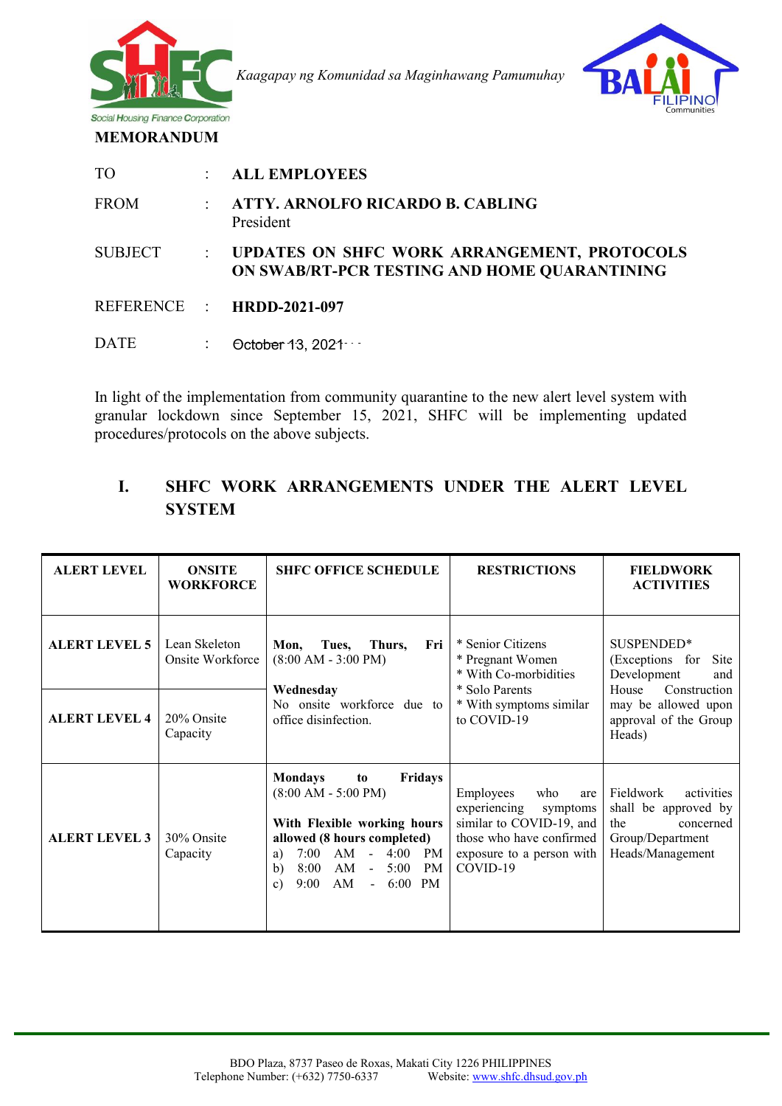

*Kaagapay ng Komunidad sa Maginhawang Pamumuhay* 



**MEMORANDUM** 

| T <sub>O</sub> | <b>ALL EMPLOYEES</b>                                                                        |
|----------------|---------------------------------------------------------------------------------------------|
| <b>FROM</b>    | <b>ATTY. ARNOLFO RICARDO B. CABLING</b><br>President                                        |
| <b>SUBJECT</b> | UPDATES ON SHFC WORK ARRANGEMENT, PROTOCOLS<br>ON SWAB/RT-PCR TESTING AND HOME QUARANTINING |
|                | REFERENCE : HRDD-2021-097                                                                   |
| <b>DATE</b>    | October 13, 2021                                                                            |

In light of the implementation from community quarantine to the new alert level system with granular lockdown since September 15, 2021, SHFC will be implementing updated procedures/protocols on the above subjects.

# **I. SHFC WORK ARRANGEMENTS UNDER THE ALERT LEVEL SYSTEM**

| <b>ALERT LEVEL</b>   | <b>ONSITE</b><br><b>WORKFORCE</b> | <b>SHFC OFFICE SCHEDULE</b>                                                                                                                                                                                                                                                                     | <b>RESTRICTIONS</b>                                                                                                                                  | <b>FIELDWORK</b><br><b>ACTIVITIES</b>                                                                                                          |
|----------------------|-----------------------------------|-------------------------------------------------------------------------------------------------------------------------------------------------------------------------------------------------------------------------------------------------------------------------------------------------|------------------------------------------------------------------------------------------------------------------------------------------------------|------------------------------------------------------------------------------------------------------------------------------------------------|
| <b>ALERT LEVEL 5</b> | Lean Skeleton<br>Onsite Workforce | Thurs,<br>Fri<br>Mon,<br>Tues,<br>$(8:00 AM - 3:00 PM)$<br>Wednesday                                                                                                                                                                                                                            | * Senior Citizens<br>* Pregnant Women<br>* With Co-morbidities<br>* Solo Parents<br>* With symptoms similar<br>to COVID-19                           | SUSPENDED*<br>(Exceptions for<br>Site<br>Development<br>and<br>House<br>Construction<br>may be allowed upon<br>approval of the Group<br>Heads) |
| <b>ALERT LEVEL 4</b> | 20% Onsite<br>Capacity            | No onsite workforce due to<br>office disinfection.                                                                                                                                                                                                                                              |                                                                                                                                                      |                                                                                                                                                |
| <b>ALERT LEVEL 3</b> | 30% Onsite<br>Capacity            | <b>Fridays</b><br><b>Mondays</b><br>to<br>$(8:00 AM - 5:00 PM)$<br>With Flexible working hours<br>allowed (8 hours completed)<br>AM<br>4:00<br>7:00<br>PM<br>$\sim$ $^{-1}$<br>a)<br>AM<br>5:00<br>8:00<br>PM<br>$\mathbf{b}$<br>$\sim$<br>AM<br>9:00<br>6:00<br>PM<br>$\omega$<br>$\mathbf{c}$ | Employees<br>who<br>are<br>experiencing<br>symptoms<br>similar to COVID-19, and<br>those who have confirmed<br>exposure to a person with<br>COVID-19 | Fieldwork<br>activities<br>shall be approved by<br>the<br>concerned<br>Group/Department<br>Heads/Management                                    |

ī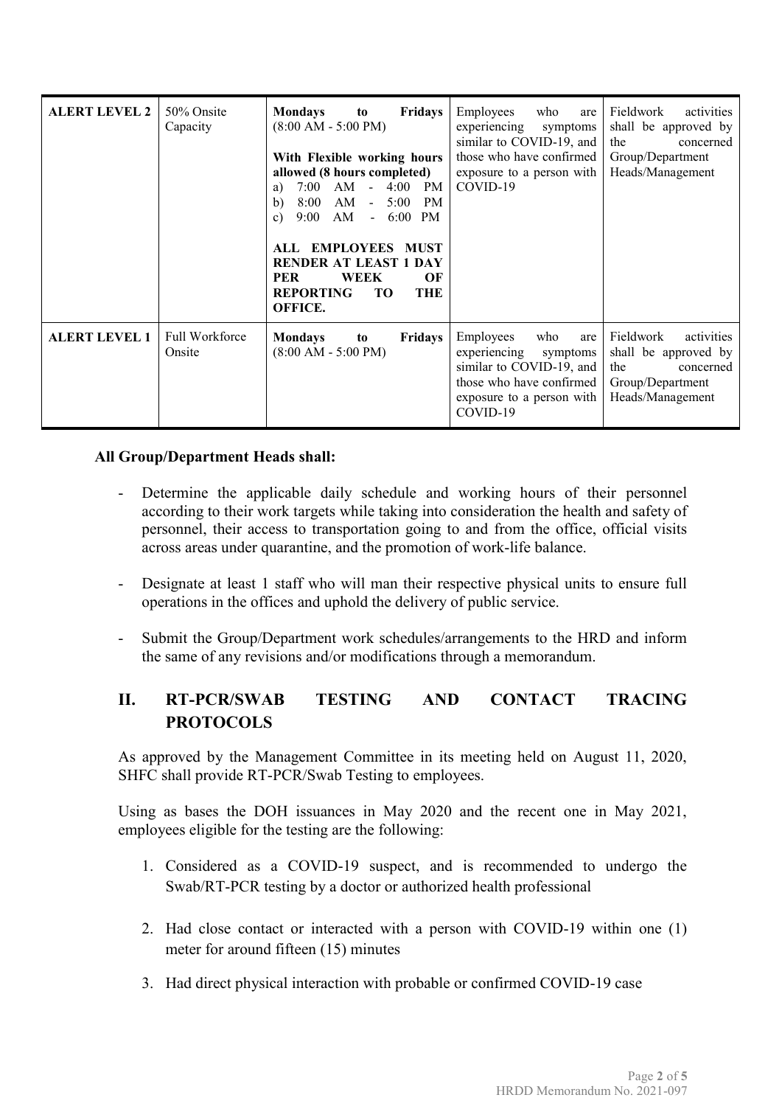| <b>ALERT LEVEL 2</b> | 50% Onsite<br>Capacity          | <b>Mondays</b><br><b>Fridays</b><br>to<br>$(8:00 AM - 5:00 PM)$<br>With Flexible working hours<br>allowed (8 hours completed)<br>7:00<br>AM<br>4:00<br>PM<br>$\sim$<br>a)<br>8:00<br>AM<br>5:00<br><b>PM</b><br>b)<br>$\omega$<br>AM<br>9:00<br>$-6:00$<br>PM<br>$\mathbf{c}$<br>ALL EMPLOYEES MUST<br><b>RENDER AT LEAST 1 DAY</b><br>PER<br><b>WEEK</b><br>OF<br><b>REPORTING</b><br><b>TO</b><br>THE<br>OFFICE. | Employees<br>who<br>are<br>experiencing<br>symptoms<br>similar to COVID-19, and<br>those who have confirmed<br>exposure to a person with<br>COVID-19 | Fieldwork<br>activities<br>shall be approved by<br>the<br>concerned<br>Group/Department<br>Heads/Management |
|----------------------|---------------------------------|--------------------------------------------------------------------------------------------------------------------------------------------------------------------------------------------------------------------------------------------------------------------------------------------------------------------------------------------------------------------------------------------------------------------|------------------------------------------------------------------------------------------------------------------------------------------------------|-------------------------------------------------------------------------------------------------------------|
| <b>ALERT LEVEL 1</b> | <b>Full Workforce</b><br>Onsite | <b>Mondays</b><br><b>Fridays</b><br>to<br>$(8:00 AM - 5:00 PM)$                                                                                                                                                                                                                                                                                                                                                    | Employees<br>who<br>are<br>experiencing<br>symptoms<br>similar to COVID-19, and<br>those who have confirmed<br>exposure to a person with<br>COVID-19 | Fieldwork<br>activities<br>shall be approved by<br>the<br>concerned<br>Group/Department<br>Heads/Management |

# **All Group/Department Heads shall:**

- Determine the applicable daily schedule and working hours of their personnel according to their work targets while taking into consideration the health and safety of personnel, their access to transportation going to and from the office, official visits across areas under quarantine, and the promotion of work-life balance.
- Designate at least 1 staff who will man their respective physical units to ensure full operations in the offices and uphold the delivery of public service.
- Submit the Group/Department work schedules/arrangements to the HRD and inform the same of any revisions and/or modifications through a memorandum.

# **II. RT-PCR/SWAB TESTING AND CONTACT TRACING PROTOCOLS**

As approved by the Management Committee in its meeting held on August 11, 2020, SHFC shall provide RT-PCR/Swab Testing to employees.

Using as bases the DOH issuances in May 2020 and the recent one in May 2021, employees eligible for the testing are the following:

- 1. Considered as a COVID-19 suspect, and is recommended to undergo the Swab/RT-PCR testing by a doctor or authorized health professional
- 2. Had close contact or interacted with a person with COVID-19 within one (1) meter for around fifteen (15) minutes
- 3. Had direct physical interaction with probable or confirmed COVID-19 case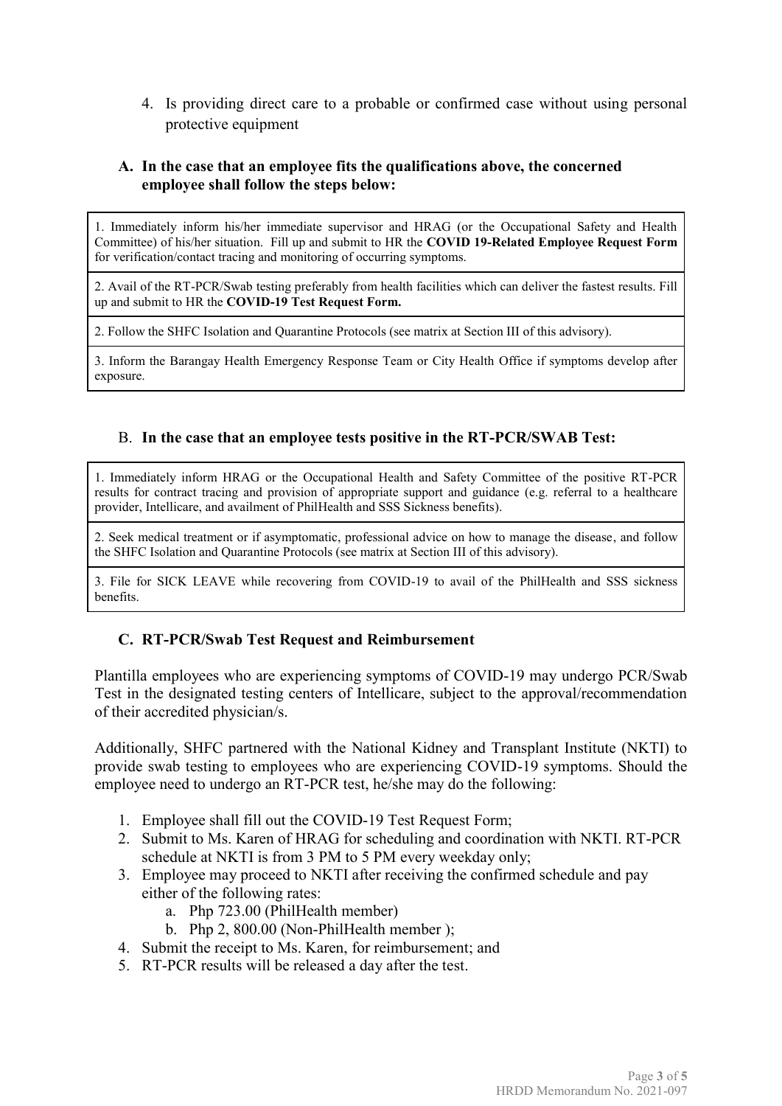4. Is providing direct care to a probable or confirmed case without using personal protective equipment

### **A. In the case that an employee fits the qualifications above, the concerned employee shall follow the steps below:**

1. Immediately inform his/her immediate supervisor and HRAG (or the Occupational Safety and Health Committee) of his/her situation. Fill up and submit to HR the **COVID 19-Related Employee Request Form**  for verification/contact tracing and monitoring of occurring symptoms.

2. Avail of the RT-PCR/Swab testing preferably from health facilities which can deliver the fastest results. Fill up and submit to HR the **COVID-19 Test Request Form.**

2. Follow the SHFC Isolation and Quarantine Protocols (see matrix at Section III of this advisory).

3. Inform the Barangay Health Emergency Response Team or City Health Office if symptoms develop after exposure.

#### B. **In the case that an employee tests positive in the RT-PCR/SWAB Test:**

1. Immediately inform HRAG or the Occupational Health and Safety Committee of the positive RT-PCR results for contract tracing and provision of appropriate support and guidance (e.g. referral to a healthcare provider, Intellicare, and availment of PhilHealth and SSS Sickness benefits).

2. Seek medical treatment or if asymptomatic, professional advice on how to manage the disease, and follow the SHFC Isolation and Quarantine Protocols (see matrix at Section III of this advisory).

3. File for SICK LEAVE while recovering from COVID-19 to avail of the PhilHealth and SSS sickness benefits.

# **C. RT-PCR/Swab Test Request and Reimbursement**

Plantilla employees who are experiencing symptoms of COVID-19 may undergo PCR/Swab Test in the designated testing centers of Intellicare, subject to the approval/recommendation of their accredited physician/s.

Additionally, SHFC partnered with the National Kidney and Transplant Institute (NKTI) to provide swab testing to employees who are experiencing COVID-19 symptoms. Should the employee need to undergo an RT-PCR test, he/she may do the following:

- 1. Employee shall fill out the COVID-19 Test Request Form;
- 2. Submit to Ms. Karen of HRAG for scheduling and coordination with NKTI. RT-PCR schedule at NKTI is from 3 PM to 5 PM every weekday only;
- 3. Employee may proceed to NKTI after receiving the confirmed schedule and pay either of the following rates:
	- a. Php 723.00 (PhilHealth member)
	- b. Php 2, 800.00 (Non-PhilHealth member );
- 4. Submit the receipt to Ms. Karen, for reimbursement; and
- 5. RT-PCR results will be released a day after the test.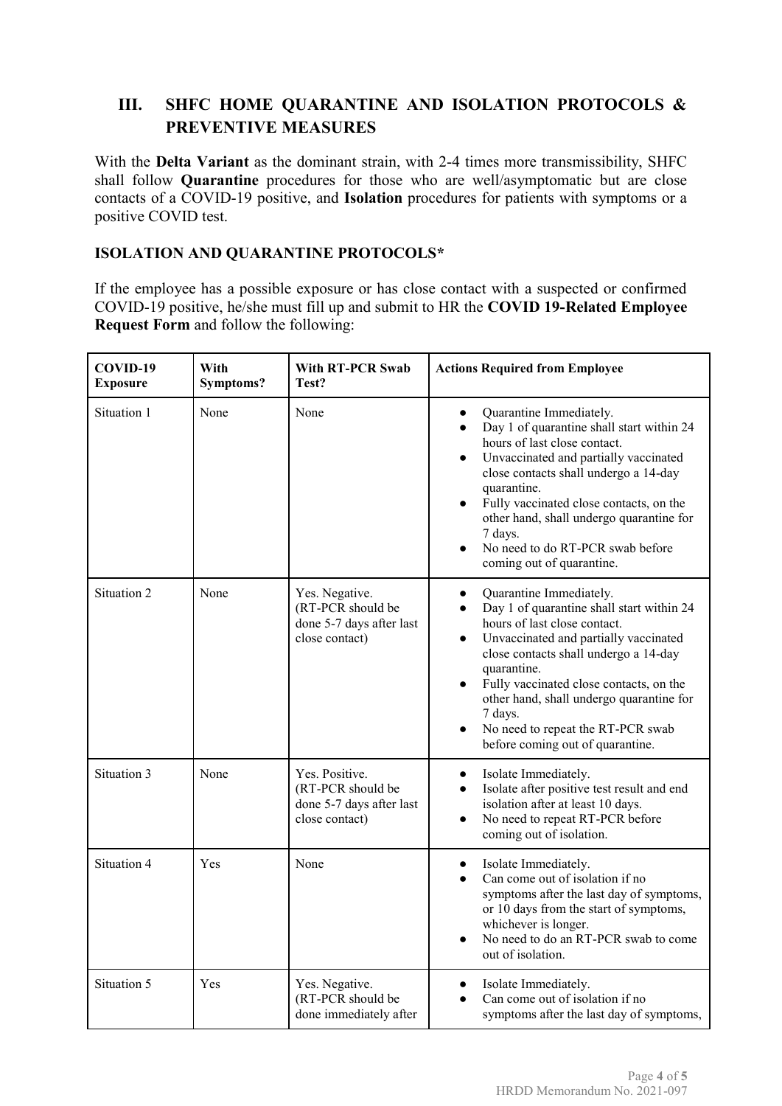# **III. SHFC HOME QUARANTINE AND ISOLATION PROTOCOLS & PREVENTIVE MEASURES**

With the **Delta Variant** as the dominant strain, with 2-4 times more transmissibility, SHFC shall follow **Quarantine** procedures for those who are well/asymptomatic but are close contacts of a COVID-19 positive, and **Isolation** procedures for patients with symptoms or a positive COVID test.

### **ISOLATION AND QUARANTINE PROTOCOLS\***

If the employee has a possible exposure or has close contact with a suspected or confirmed COVID-19 positive, he/she must fill up and submit to HR the **COVID 19-Related Employee Request Form** and follow the following:

| COVID-19<br><b>Exposure</b> | With<br>Symptoms? | <b>With RT-PCR Swab</b><br>Test?                                                  | <b>Actions Required from Employee</b>                                                                                                                                                                                                                                                                                                                                                                                                             |
|-----------------------------|-------------------|-----------------------------------------------------------------------------------|---------------------------------------------------------------------------------------------------------------------------------------------------------------------------------------------------------------------------------------------------------------------------------------------------------------------------------------------------------------------------------------------------------------------------------------------------|
| Situation 1                 | None              | None                                                                              | Quarantine Immediately.<br>$\bullet$<br>Day 1 of quarantine shall start within 24<br>$\bullet$<br>hours of last close contact.<br>Unvaccinated and partially vaccinated<br>$\bullet$<br>close contacts shall undergo a 14-day<br>quarantine.<br>Fully vaccinated close contacts, on the<br>other hand, shall undergo quarantine for<br>7 days.<br>No need to do RT-PCR swab before<br>coming out of quarantine.                                   |
| Situation 2                 | None              | Yes. Negative.<br>(RT-PCR should be<br>done 5-7 days after last<br>close contact) | Quarantine Immediately.<br>$\bullet$<br>Day 1 of quarantine shall start within 24<br>$\bullet$<br>hours of last close contact.<br>Unvaccinated and partially vaccinated<br>$\bullet$<br>close contacts shall undergo a 14-day<br>quarantine.<br>Fully vaccinated close contacts, on the<br>$\bullet$<br>other hand, shall undergo quarantine for<br>7 days.<br>No need to repeat the RT-PCR swab<br>$\bullet$<br>before coming out of quarantine. |
| Situation 3                 | None              | Yes. Positive.<br>(RT-PCR should be<br>done 5-7 days after last<br>close contact) | Isolate Immediately.<br>$\bullet$<br>Isolate after positive test result and end<br>$\bullet$<br>isolation after at least 10 days.<br>No need to repeat RT-PCR before<br>$\bullet$<br>coming out of isolation.                                                                                                                                                                                                                                     |
| Situation 4                 | Yes               | None                                                                              | Isolate Immediately.<br>$\bullet$<br>Can come out of isolation if no<br>$\bullet$<br>symptoms after the last day of symptoms,<br>or 10 days from the start of symptoms,<br>whichever is longer.<br>No need to do an RT-PCR swab to come<br>out of isolation.                                                                                                                                                                                      |
| Situation 5                 | Yes               | Yes. Negative.<br>(RT-PCR should be<br>done immediately after                     | Isolate Immediately.<br>$\bullet$<br>Can come out of isolation if no<br>symptoms after the last day of symptoms,                                                                                                                                                                                                                                                                                                                                  |